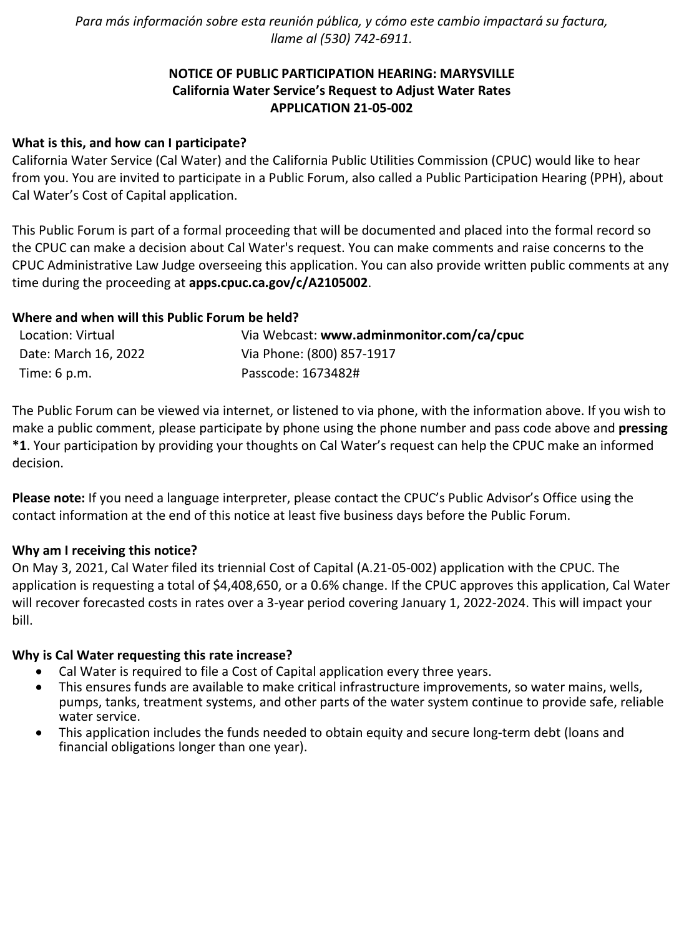*Para más información sobre esta reunión pública, y cómo este cambio impactará su factura, llame al (530) 742-6911.*

# **NOTICE OF PUBLIC PARTICIPATION HEARING: MARYSVILLE California Water Service's Request to Adjust Water Rates APPLICATION 21-05-002**

# **What is this, and how can I participate?**

California Water Service (Cal Water) and the California Public Utilities Commission (CPUC) would like to hear from you. You are invited to participate in a Public Forum, also called a Public Participation Hearing (PPH), about Cal Water's Cost of Capital application.

This Public Forum is part of a formal proceeding that will be documented and placed into the formal record so the CPUC can make a decision about Cal Water's request. You can make comments and raise concerns to the CPUC Administrative Law Judge overseeing this application. You can also provide written public comments at any time during the proceeding at **[apps.cpuc.ca.gov/c/A2105002](https://apps.cpuc.ca.gov/apex/f?p=401:65:0::NO:RP,57,RIR:P5_PROCEEDING_SELECT:A2105002)**.

## **Where and when will this Public Forum be held?**

| Location: Virtual    | Via Webcast: www.adminmonitor.com/ca/cpuc |
|----------------------|-------------------------------------------|
| Date: March 16, 2022 | Via Phone: (800) 857-1917                 |
| Time: 6 p.m.         | Passcode: 1673482#                        |

The Public Forum can be viewed via internet, or listened to via phone, with the information above. If you wish to make a public comment, please participate by phone using the phone number and pass code above and **pressing \*1**. Your participation by providing your thoughts on Cal Water's request can help the CPUC make an informed decision.

**Please note:** If you need a language interpreter, please contact the CPUC's Public Advisor's Office using the contact information at the end of this notice at least five business days before the Public Forum.

#### **Why am I receiving this notice?**

On May 3, 2021, Cal Water filed its triennial Cost of Capital (A.21-05-002) application with the CPUC. The application is requesting a total of \$4,408,650, or a 0.6% change. If the CPUC approves this application, Cal Water will recover forecasted costs in rates over a 3-year period covering January 1, 2022-2024. This will impact your bill.

#### **Why is Cal Water requesting this rate increase?**

- Cal Water is required to file a Cost of Capital application every three years.
- This ensures funds are available to make critical infrastructure improvements, so water mains, wells, pumps, tanks, treatment systems, and other parts of the water system continue to provide safe, reliable water service.
- This application includes the funds needed to obtain equity and secure long-term debt (loans and financial obligations longer than one year).